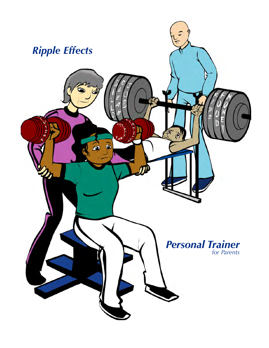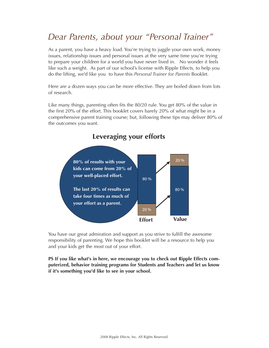## *Dear Parents, about your "Personal Trainer"*

As a parent, you have a heavy load. You're trying to juggle your own work, money issues, relationship issues and personal issues at the very same time you're trying to prepare your children for a world you have never lived in. No wonder it feels like such a weight. As part of our school's license with Ripple Effects, to help you do the lifting, we'd like you to have this *Personal Trainer for Parents* Booklet.

Here are a dozen ways you can be more effective. They are boiled down from lots of research.

Like many things, parenting often fits the 80/20 rule. You get 80% of the value in the first 20% of the effort. This booklet covers barely 20% of what might be in a comprehensive parent training course; but, following these tips may deliver 80% of the outcomes you want.



## **Leveraging your efforts**

You have our great admiration and support as you strive to fulfill the awesome responsibility of parenting. We hope this booklet will be a resource to help you and your kids get the most out of your effort.

**PS If you like what's in here, we encourage you to check out Ripple Effects computerized, behavior training programs for Students and Teachers and let us know if it's something you'd like to see in your school.**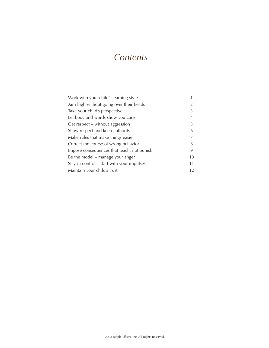## *Contents*

| Work with your child's learning style      |    |
|--------------------------------------------|----|
| Aim high without going over their heads    | 2  |
| Take your child's perspective              | 3  |
| Let body and words show you care           | 4  |
| Get respect – without aggression           | 5  |
| Show respect and keep authority            | 6  |
| Make rules that make things easier         |    |
| Correct the course of wrong behavior       | 8  |
| Impose consequences that teach, not punish | 9  |
| Be the model – manage your anger           | 10 |
| Stay in control – start with your impulses | 11 |
| Maintain your child's trust                | 12 |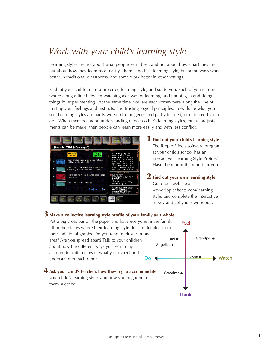# *Work with your child's learning style*

Learning styles are not about what people learn best, and not about how smart they are, but about how they learn most easily. There is no best learning style, but some ways work better in traditional classrooms, and some work better in other settings.

Each of your children has a preferred learning style, and so do you. Each of you is somewhere along a line between watching as a way of learning, and jumping in and doing things by experimenting. At the same time, you are each somewhere along the line of trusting your feelings and instincts, and trusting logical principles, to evaluate what you see. Learning styles are partly wired into the genes and partly learned, or enforced by others. When there is a good understanding of each other's learning styles, mutual adjustments can be made; then people can learn more easily and with less conflict.



**Find out your child's learning style 1** The Ripple Effects software program at your child's school has an interactive "Learning Style Profile." measure examing expressions. n print-

 $2$  Find out your own learning style Go to our website at www.rippleeffects.com/learning style, and complete the interactive survey and get your own report.

feelings and

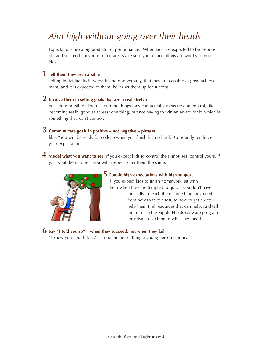# *Aim high without going over their heads*

Expectations are a big predictor of performance. When kids are expected to be responsible and succeed, they most often are. Make sure your expectations are worthy of your kids:

## **Tell them they are capable 1**

Telling individual kids, verbally and non-verbally, that they are capable of great achievement, and it is expected of them, helps set them up for success.

## **Involve them in setting goals that are a real stretch 2**

but not impossible. These should be things they can actually measure and control, like becoming really good at at least one thing, but not having to win an award for it, which is something they can't control.

## **Communicate goals in positive – not negative – phrases 3**

like, "You will be ready for college when you finish high school." Constantly reinforce your expectations.

**Model what you want to see**. If you expect kids to control their impulses, control yours. If **4** you want them to treat you with respect, offer them the same.



## ${\bf 5}$  Couple high expectations with high support

If you expect kids to finish homework, sit with them when they are tempted to quit. If you don't have the skills to teach them something they need – from how to take a test, to how to get a date – help them find resources that can help. And tell them to use the Ripple Effects software program for private coaching in what they need.

## $\mathbf{6}$  Say "I told you so" – when they succeed, not when they fail

"I knew you could do it," can be the nicest thing a young person can hear.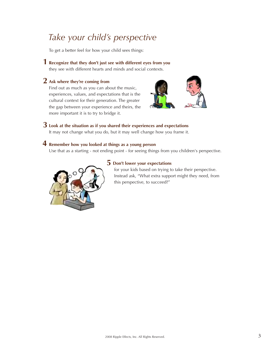# *Take your child's perspective*

To get a better feel for how your child sees things:

## **Recognize that they don't just see with different eyes from you 1**

they see with different hearts and minds and social contexts.

## **Ask where they're coming from 2**

Find out as much as you can about the music, experiences, values, and expectations that is the cultural context for their generation. The greater the gap between your experience and theirs, the more important it is to try to bridge it.



## **Look at the situation as if you shared their experiences and expectations 3**

It may not change what you do, but it may well change how you frame it.

## **Remember how you looked at things as a young person 4**

Use that as a starting - not ending point - for seeing things from you children's perspective.



## **Don't lower your expectations 5**

for your kids based on trying to take their perspective. Instead ask, "What extra support might they need, from this perspective, to succeed?"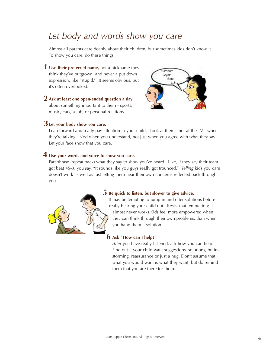## *Let body and words show you care*

Almost all parents care deeply about their children, but sometimes kids don't know it. To show you care, do these things:

**Use their preferred name,** not a nickname they **1** think they've outgrown, and never a put down expression, like "stupid." It seems obvious, but it's often overlooked.

 $\overline{\mathbf{2}}$  Ask at least one open-ended question a day about something important to them - sports, music, cars, a job, or personal relations.

## **Let your body show you care. 3**



Lean forward and really pay attention to your child. Look at them - not at the TV - when they're talking. Nod when you understand, not just when you agree with what they say. Let your face show that you care.

## **Use your words and voice to show you care. 4**

Paraphrase (repeat back) what they say to show you've heard. Like, if they say their team got beat 45-3, you say, "It sounds like you guys really got trounced." *Telling* kids you care doesn't work as well as just letting them hear their own concerns reflected back through you.



## $\overline{\mathbf{5}}$  Be quick to listen, but slower to give advice.

It may be tempting to jump in and offer solutions before really hearing your child out. Resist that temptation; it almost never works.Kids feel more empowered when they can think through their own problems, than when you hand them a solution.

## **Ask "How can I help?" 6**

*After* you have really listened, ask how you can help. Find out if your child want suggestions, solutions, brainstorming, reassurance or just a hug. Don't assume that what you would want is what they want, but do remind them that you are there for them..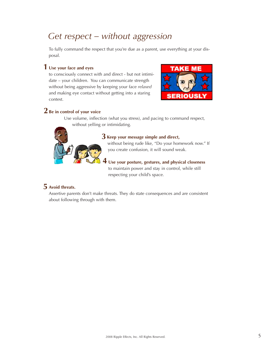## *Get respect – without aggression*

To fully command the respect that you're due as a parent, use everything at your disposal.

## **1 Use your face and eyes**

to consciously connect with and direct - but not intimidate – your children. You can communicate strength without being aggressive by keeping your face *relaxed* and making eye contact without getting into a staring contest.



## **2 Be in control of your voice**

Use volume, inflection (what you stress), and pacing to command respect, without yelling or intimidating.



## $3$  Keep your message simple and direct,

without being rude like, "Do your homework now." If you create confusion, it will sound weak.

**Use your posture, gestures, and physical closeness** to maintain power and stay in control, while still respecting your child's space. **4**

## **Avoid threats. 5**

Assertive parents don't make threats. They do state consequences and are consistent about following through with them.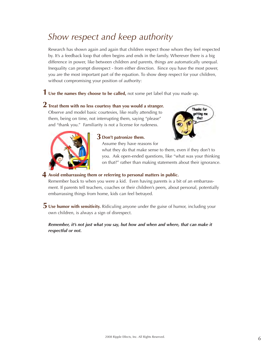# *Show respect and keep authority*

Research has shown again and again that children respect those whom they feel respected by. It's a feedback loop that often begins and ends in the family. Wherever there is a big difference in power, like between children and parents, things are automatically unequal. Inequality can prompt disrespect - from either direction. ßince oyu have the most power, you are the most important part of the equation. To show deep respect for your children, without compromising your position of authority:

**Use the names they choose to be called,** not some pet label that you made up. **1**

## $\mathbf 2$  Treat them with no less courtesy than you would a stranger.

Observe and model basic courtesies, like really attending to them, being on time, not interrupting them, saying "please" and "thank you." Familiarity is not a license for rudeness.





## **Don't patronize them. 3**

Assume they have reasons for what they do that make sense to them, even if they don't to you. Ask open-ended questions, like "what was your thinking on that?" rather than making statements about their ignorance.

## **Avoid embarrassing them or referring to personal matters in public. 4**

Remember back to when you were a kid. Even having parents is a bit of an embarrassment. If parents tell teachers, coaches or their children's peers, about personal, potentially embarrassing things from home, kids can feel betrayed.

 $\overline{\mathbf{5}}$  Use humor with sensitivity. Ridiculing anyone under the guise of humor, including your own children, is always a sign of disrespect.

### *Remember, it's not just what you say, but how and when and where, that can make it respectful or not.*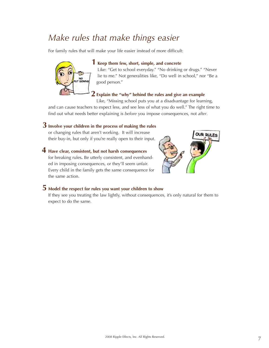## *Make rules that make things easier*

For family rules that will make your life easier instead of more difficult:



the same action.

## **Keep them few, short, simple, and concrete 1**

Like: "Get to school everyday." "No drinking or drugs." "Never lie to me." Not generalities like, "Do well in school," nor "Be a good person."

## **Explain the "why" behind the rules and give an example 2**

Like, "Missing school puts you at a disadvantage for learning,

and can cause teachers to expect less, and see less of what you do well." The right time to find out what needs better explaining is *before* you impose consequences, not *after*.

## $\bf 3$  Involve your children in the process of making the rules

or changing rules that aren't working. It will increase their buy-in, but only if you're really open to their input.



### **Have clear, consistent, but not harsh consequences 4** for breaking rules**.** Be utterly consistent, and evenhanded in imposing consequences, or they'll seem unfair. Every child in the family gets the same consequence for

## **Model the respect for rules you want your children to show 5**

If they see you treating the law lightly, without consequences, it's only natural for them to expect to do the same.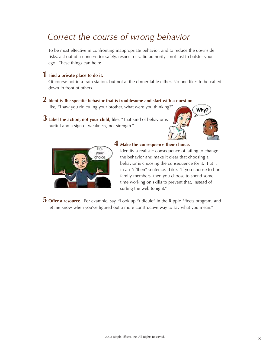# *Correct the course of wrong behavior*

To be most effective in confronting inappropriate behavior, and to reduce the downside risks, act out of a concern for safety, respect or valid authority - not just to bolster your ego. These things can help:

## **Find a private place to do it. 1**

Of course not in a train station, but not at the dinner table either. No one likes to be called down in front of others.

## $\bf 2$  Identify the specific behavior that is troublesome and start with a question

like, "I saw you ridiculing your brother, what were you thinking?"

**Label the action, not your child,** like: "That kind of behavior is **3** hurtful and a sign of weakness, not strength."





## **Make the consequence their choice. 4**

Identify a realistic consequence of failing to change the behavior and make it clear that choosing a behavior is choosing the consequence for it. Put it in an "if/then" sentence. Like, "If you choose to hurt family members, then you choose to spend some time working on skills to prevent that, instead of surfing the web tonight."

**Offer a resource.** For example, say, "Look up "ridicule" in the Ripple Effects program, and **5**let me know when you've figured out a more constructive way to say what you mean."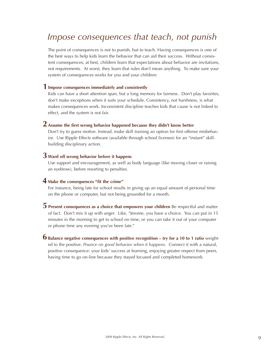## *Impose consequences that teach, not punish*

The point of consequences is not to punish, but to teach. Having consequences is one of the best ways to help kids learn the behavior that can aid their success. Without consistent consequences, at best, children learn that expectations about behavior are invitations, not requirements. At worst, they learn that rules don't mean anything. To make sure your system of consequences works for you and your children:

## **Impose consequences immediately and consistently 1**

Kids can have a short attention span, but a long memory for fairness. Don't play favorites, don't make exceptions when it suits your schedule. Consistency, not harshness, is what makes consequences work. Inconsistent discipline teaches kids that cause is not linked to effect, and the system is not fair.

## **Assume the first wrong behavior happened because they didn't know better 2**

Don't try to guess motive. Instead, make skill training an option for first offense misbehavior. Use Ripple Effects software (available through school licenses) for an "instant" skillbuilding disciplinary action.

## **Ward off wrong behavior before it happens 3**

Use support and encouragement, as well as body language (like moving closer or raising an eyebrow), before resorting to penalties.

## **Make the consequences "fit the crime" 4**

For instance, being late for school results in giving up an equal amount of personal time on the phone or computer, but not being grounded for a month.

- $\overline{5}$  Present consequences as a choice that empowers your children Be respectful and matter of fact. Don't mix it up with anger. Like, "Jerome, you have a choice. You can put in 15 minutes in the morning to get to school on time, or you can take it out of your computer or phone time any evening you've been late."
- **Balance negative consequences with positive recognition try for a 10 to 1 ratio** weight-**6**ed to the positive. *Pounce on good behavior when it happens.* Connect it with a natural, positive consequence: your kids' success at learning, enjoying greater respect from peers, having time to go on-line because they stayed focused and completed homework.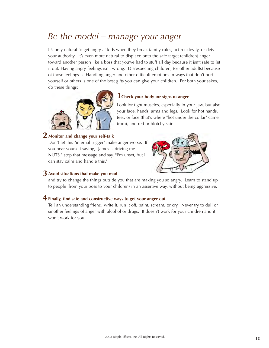## *Be the model – manage your anger*

It's only natural to get angry at kids when they break family rules, act recklessly, or defy your authority. It's even more natural to displace onto the safe target (children) anger toward another person like a boss that you've had to stuff all day because it isn't safe to let it out. Having angry feelings isn't wrong. Disrespecting children, (or other adults) because of those feelings is. Handling anger and other difficult emotions in ways that don't hurt yourself or others is one of the best gifts you can give your children. For both your sakes, do these things:



### **1Check your body for signs of anger**

Look for tight muscles, especially in your jaw, but also your face, hands, arms and legs. Look for hot hands, feet, or face (that's where "hot under the collar" came from), and red or blotchy skin.

## **Monitor and change your self-talk 2**

Don't let this "internal trigger" make anger worse. If you hear yourself saying, "James is driving me NUTS," stop that message and say, "I'm upset, but I can stay calm and handle this."



## **Avoid situations that make you mad 3**

and try to change the things outside you that are making you so angry. Learn to stand up to people (from your boss to your children) in an assertive way, without being aggressive.

## **Finally, find safe and constructive ways to get your anger out 4**

Tell an understanding friend, write it, run it off, paint, scream, or cry. Never try to dull or smother feelings of anger with alcohol or drugs. It doesn't work for your children and it won't work for you.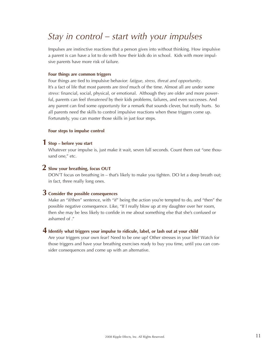# *Stay in control – start with your impulses*

Impulses are instinctive reactions that a person gives into without thinking. How impulsive a parent is can have a lot to do with how their kids do in school. Kids with more impulsive parents have more risk of failure.

#### **Four things are common triggers**

Four things are tied to impulsive behavior: *fatigue, stress, threat and opportunity*. It's a fact of life that most parents are *tired* much of the time. Almost all are under some *stress*: financial, social, physical, or emotional. Although they are older and more powerful, parents can feel *threatened* by their kids problems, failures, and even successes. And any parent can find some *opportunity* for a remark that sounds clever, but really hurts. So all parents need the skills to control impulsive reactions when these triggers come up. Fortunately, you can master those skills in just four steps.

#### **Four steps to impulse control**

## **Stop – before you start 1**

Whatever your impulse is, just make it wait, seven full seconds. Count them out "one thousand one," etc.

## **Slow your breathing, focus OUT 2**

DON'T focus on breathing in – that's likely to make you tighten. DO let a deep breath out; in fact, three really long ones.

## **Consider the possible consequences 3**

Make an "if/then" sentence, with "if" being the action you're tempted to do, and "then" the possible negative consequence. Like, "If I really blow up at my daughter over her room, then she may be less likely to confide in me about something else that she's confused or ashamed of ."

## $\boldsymbol{4}$  Identify what triggers your impulse to ridicule, label, or lash out at your child

Are your triggers your own fear? Need to be one up? Other stresses in your life? Watch for those triggers and have your breathing exercises ready to buy you time, until you can consider consequences and come up with an alternative.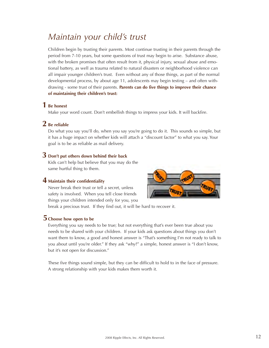## *Maintain your child's trust*

Children begin by trusting their parents. Most continue trusting in their parents through the period from 7-10 years, but some questions of trust may begin to arise. Substance abuse, with the broken promises that often result from it, physical injury, sexual abuse and emotional battery, as well as trauma related to natural disasters or neighborhood violence can all impair younger children's trust. Even without any of those things, as part of the normal developmental process, by about age 11, adolescents may begin testing – and often withdrawing - some trust of their parents. **Parents can do five things to improve their chance of maintaining their children's trust:**

## **Be honest 1**

Make your word count. Don't embellish things to impress your kids. It will backfire.

## **Be reliable 2**

Do what you say you'll do, when you say you're going to do it. This sounds so simple, but it has a huge impact on whether kids will attach a "discount factor" to what you say. Your goal is to be as reliable as mail delivery.

## **Don't put others down behind their back 3**

Kids can't help but believe that you may do the same hurtful thing to them.

## **Maintain their confidentiality 4**

Never break their trust or tell a secret, unless safety is involved. When you tell close friends things your children intended only for you, you



break a precious trust. If they find out, it will be hard to recover it.

## $\overline{\mathbf{5}}$  Choose how open to be

Everything you say needs to be true; but not everything that's ever been true about you needs to be shared with your children. If your kids ask questions about things you don't want them to know, a good and honest answer is "That's something I'm not ready to talk to you about until you're older." If they ask "why?" a simple, honest answer is "I don't know, but it's not open for discussion."

These five things sound simple, but they can be difficult to hold to in the face of pressure. A strong relationship with your kids makes them worth it.